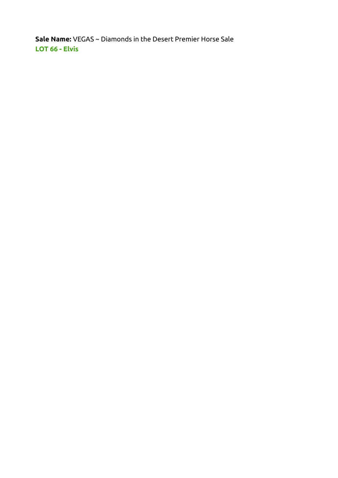Sale Name: VEGAS ~ Diamonds in the Desert Premier Horse Sale LOT 66 - Elvis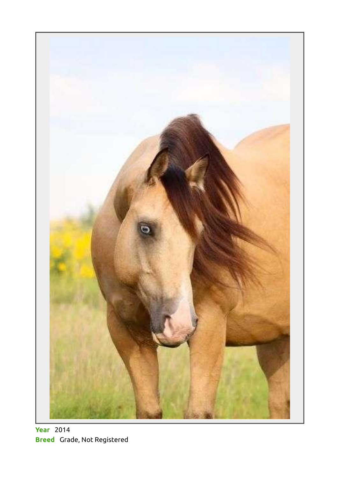

**Year** 2014 Breed Grade, Not Registered